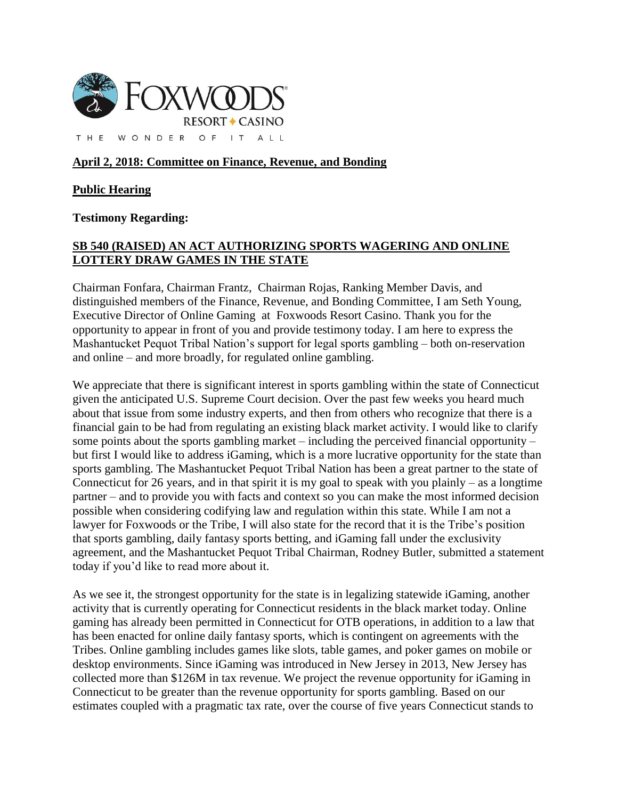

## **April 2, 2018: Committee on Finance, Revenue, and Bonding**

## **Public Hearing**

**Testimony Regarding:**

## **SB 540 (RAISED) AN ACT AUTHORIZING SPORTS WAGERING AND ONLINE LOTTERY DRAW GAMES IN THE STATE**

Chairman Fonfara, Chairman Frantz, Chairman Rojas, Ranking Member Davis, and distinguished members of the Finance, Revenue, and Bonding Committee, I am Seth Young, Executive Director of Online Gaming at Foxwoods Resort Casino. Thank you for the opportunity to appear in front of you and provide testimony today. I am here to express the Mashantucket Pequot Tribal Nation's support for legal sports gambling – both on-reservation and online – and more broadly, for regulated online gambling.

We appreciate that there is significant interest in sports gambling within the state of Connecticut given the anticipated U.S. Supreme Court decision. Over the past few weeks you heard much about that issue from some industry experts, and then from others who recognize that there is a financial gain to be had from regulating an existing black market activity. I would like to clarify some points about the sports gambling market – including the perceived financial opportunity – but first I would like to address iGaming, which is a more lucrative opportunity for the state than sports gambling. The Mashantucket Pequot Tribal Nation has been a great partner to the state of Connecticut for 26 years, and in that spirit it is my goal to speak with you plainly – as a longtime partner – and to provide you with facts and context so you can make the most informed decision possible when considering codifying law and regulation within this state. While I am not a lawyer for Foxwoods or the Tribe, I will also state for the record that it is the Tribe's position that sports gambling, daily fantasy sports betting, and iGaming fall under the exclusivity agreement, and the Mashantucket Pequot Tribal Chairman, Rodney Butler, submitted a statement today if you'd like to read more about it.

As we see it, the strongest opportunity for the state is in legalizing statewide iGaming, another activity that is currently operating for Connecticut residents in the black market today. Online gaming has already been permitted in Connecticut for OTB operations, in addition to a law that has been enacted for online daily fantasy sports, which is contingent on agreements with the Tribes. Online gambling includes games like slots, table games, and poker games on mobile or desktop environments. Since iGaming was introduced in New Jersey in 2013, New Jersey has collected more than \$126M in tax revenue. We project the revenue opportunity for iGaming in Connecticut to be greater than the revenue opportunity for sports gambling. Based on our estimates coupled with a pragmatic tax rate, over the course of five years Connecticut stands to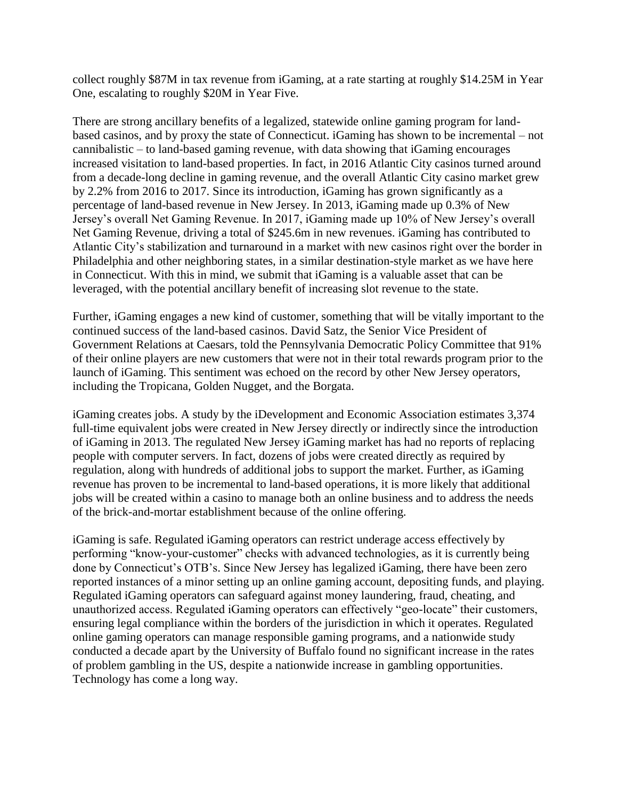collect roughly \$87M in tax revenue from iGaming, at a rate starting at roughly \$14.25M in Year One, escalating to roughly \$20M in Year Five.

There are strong ancillary benefits of a legalized, statewide online gaming program for landbased casinos, and by proxy the state of Connecticut. iGaming has shown to be incremental – not cannibalistic – to land-based gaming revenue, with data showing that iGaming encourages increased visitation to land-based properties. In fact, in 2016 Atlantic City casinos turned around from a decade-long decline in gaming revenue, and the overall Atlantic City casino market grew by 2.2% from 2016 to 2017. Since its introduction, iGaming has grown significantly as a percentage of land-based revenue in New Jersey. In 2013, iGaming made up 0.3% of New Jersey's overall Net Gaming Revenue. In 2017, iGaming made up 10% of New Jersey's overall Net Gaming Revenue, driving a total of \$245.6m in new revenues. iGaming has contributed to Atlantic City's stabilization and turnaround in a market with new casinos right over the border in Philadelphia and other neighboring states, in a similar destination-style market as we have here in Connecticut. With this in mind, we submit that iGaming is a valuable asset that can be leveraged, with the potential ancillary benefit of increasing slot revenue to the state.

Further, iGaming engages a new kind of customer, something that will be vitally important to the continued success of the land-based casinos. David Satz, the Senior Vice President of Government Relations at Caesars, told the Pennsylvania Democratic Policy Committee that 91% of their online players are new customers that were not in their total rewards program prior to the launch of iGaming. This sentiment was echoed on the record by other New Jersey operators, including the Tropicana, Golden Nugget, and the Borgata.

iGaming creates jobs. A study by the iDevelopment and Economic Association estimates 3,374 full-time equivalent jobs were created in New Jersey directly or indirectly since the introduction of iGaming in 2013. The regulated New Jersey iGaming market has had no reports of replacing people with computer servers. In fact, dozens of jobs were created directly as required by regulation, along with hundreds of additional jobs to support the market. Further, as iGaming revenue has proven to be incremental to land-based operations, it is more likely that additional jobs will be created within a casino to manage both an online business and to address the needs of the brick-and-mortar establishment because of the online offering.

iGaming is safe. Regulated iGaming operators can restrict underage access effectively by performing "know-your-customer" checks with advanced technologies, as it is currently being done by Connecticut's OTB's. Since New Jersey has legalized iGaming, there have been zero reported instances of a minor setting up an online gaming account, depositing funds, and playing. Regulated iGaming operators can safeguard against money laundering, fraud, cheating, and unauthorized access. Regulated iGaming operators can effectively "geo-locate" their customers, ensuring legal compliance within the borders of the jurisdiction in which it operates. Regulated online gaming operators can manage responsible gaming programs, and a nationwide study conducted a decade apart by the University of Buffalo found no significant increase in the rates of problem gambling in the US, despite a nationwide increase in gambling opportunities. Technology has come a long way.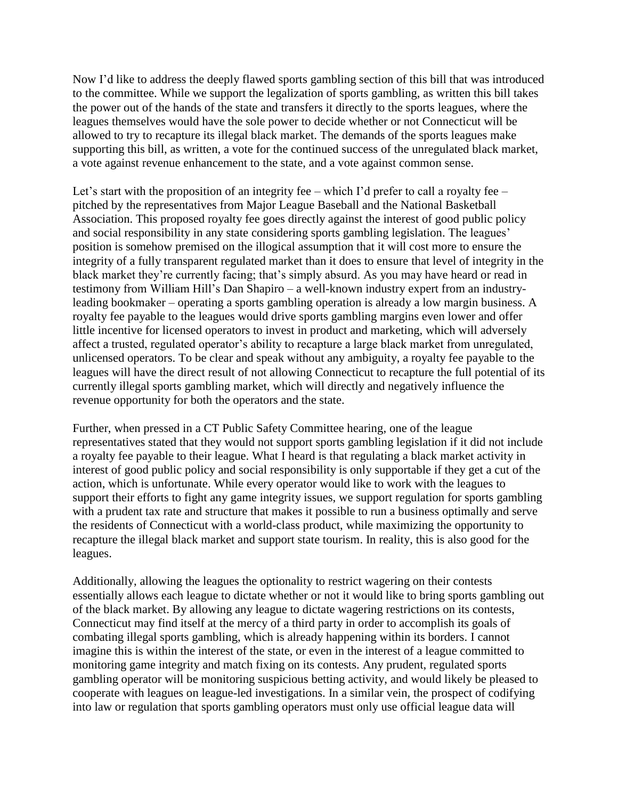Now I'd like to address the deeply flawed sports gambling section of this bill that was introduced to the committee. While we support the legalization of sports gambling, as written this bill takes the power out of the hands of the state and transfers it directly to the sports leagues, where the leagues themselves would have the sole power to decide whether or not Connecticut will be allowed to try to recapture its illegal black market. The demands of the sports leagues make supporting this bill, as written, a vote for the continued success of the unregulated black market, a vote against revenue enhancement to the state, and a vote against common sense.

Let's start with the proposition of an integrity fee – which I'd prefer to call a royalty fee – pitched by the representatives from Major League Baseball and the National Basketball Association. This proposed royalty fee goes directly against the interest of good public policy and social responsibility in any state considering sports gambling legislation. The leagues' position is somehow premised on the illogical assumption that it will cost more to ensure the integrity of a fully transparent regulated market than it does to ensure that level of integrity in the black market they're currently facing; that's simply absurd. As you may have heard or read in testimony from William Hill's Dan Shapiro – a well-known industry expert from an industryleading bookmaker – operating a sports gambling operation is already a low margin business. A royalty fee payable to the leagues would drive sports gambling margins even lower and offer little incentive for licensed operators to invest in product and marketing, which will adversely affect a trusted, regulated operator's ability to recapture a large black market from unregulated, unlicensed operators. To be clear and speak without any ambiguity, a royalty fee payable to the leagues will have the direct result of not allowing Connecticut to recapture the full potential of its currently illegal sports gambling market, which will directly and negatively influence the revenue opportunity for both the operators and the state.

Further, when pressed in a CT Public Safety Committee hearing, one of the league representatives stated that they would not support sports gambling legislation if it did not include a royalty fee payable to their league. What I heard is that regulating a black market activity in interest of good public policy and social responsibility is only supportable if they get a cut of the action, which is unfortunate. While every operator would like to work with the leagues to support their efforts to fight any game integrity issues, we support regulation for sports gambling with a prudent tax rate and structure that makes it possible to run a business optimally and serve the residents of Connecticut with a world-class product, while maximizing the opportunity to recapture the illegal black market and support state tourism. In reality, this is also good for the leagues.

Additionally, allowing the leagues the optionality to restrict wagering on their contests essentially allows each league to dictate whether or not it would like to bring sports gambling out of the black market. By allowing any league to dictate wagering restrictions on its contests, Connecticut may find itself at the mercy of a third party in order to accomplish its goals of combating illegal sports gambling, which is already happening within its borders. I cannot imagine this is within the interest of the state, or even in the interest of a league committed to monitoring game integrity and match fixing on its contests. Any prudent, regulated sports gambling operator will be monitoring suspicious betting activity, and would likely be pleased to cooperate with leagues on league-led investigations. In a similar vein, the prospect of codifying into law or regulation that sports gambling operators must only use official league data will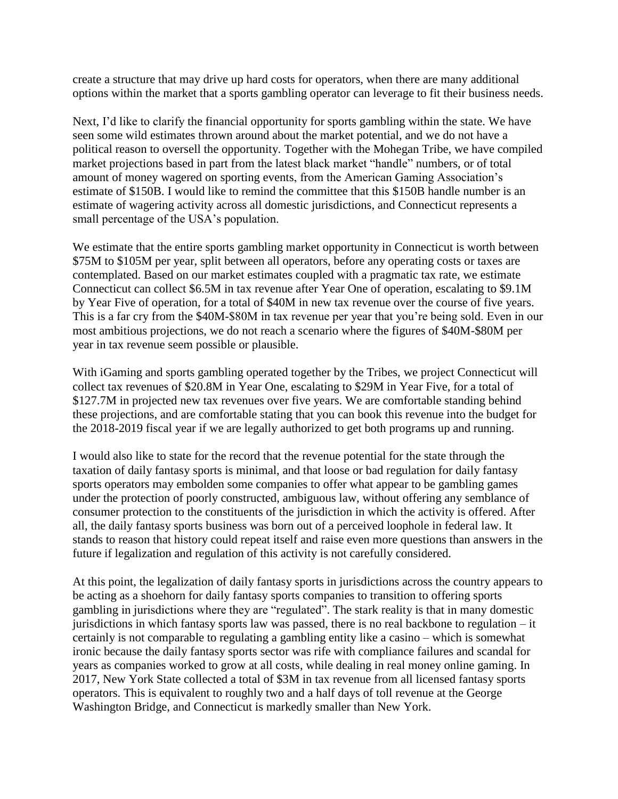create a structure that may drive up hard costs for operators, when there are many additional options within the market that a sports gambling operator can leverage to fit their business needs.

Next, I'd like to clarify the financial opportunity for sports gambling within the state. We have seen some wild estimates thrown around about the market potential, and we do not have a political reason to oversell the opportunity. Together with the Mohegan Tribe, we have compiled market projections based in part from the latest black market "handle" numbers, or of total amount of money wagered on sporting events, from the American Gaming Association's estimate of \$150B. I would like to remind the committee that this \$150B handle number is an estimate of wagering activity across all domestic jurisdictions, and Connecticut represents a small percentage of the USA's population.

We estimate that the entire sports gambling market opportunity in Connecticut is worth between \$75M to \$105M per year, split between all operators, before any operating costs or taxes are contemplated. Based on our market estimates coupled with a pragmatic tax rate, we estimate Connecticut can collect \$6.5M in tax revenue after Year One of operation, escalating to \$9.1M by Year Five of operation, for a total of \$40M in new tax revenue over the course of five years. This is a far cry from the \$40M-\$80M in tax revenue per year that you're being sold. Even in our most ambitious projections, we do not reach a scenario where the figures of \$40M-\$80M per year in tax revenue seem possible or plausible.

With iGaming and sports gambling operated together by the Tribes, we project Connecticut will collect tax revenues of \$20.8M in Year One, escalating to \$29M in Year Five, for a total of \$127.7M in projected new tax revenues over five years. We are comfortable standing behind these projections, and are comfortable stating that you can book this revenue into the budget for the 2018-2019 fiscal year if we are legally authorized to get both programs up and running.

I would also like to state for the record that the revenue potential for the state through the taxation of daily fantasy sports is minimal, and that loose or bad regulation for daily fantasy sports operators may embolden some companies to offer what appear to be gambling games under the protection of poorly constructed, ambiguous law, without offering any semblance of consumer protection to the constituents of the jurisdiction in which the activity is offered. After all, the daily fantasy sports business was born out of a perceived loophole in federal law. It stands to reason that history could repeat itself and raise even more questions than answers in the future if legalization and regulation of this activity is not carefully considered.

At this point, the legalization of daily fantasy sports in jurisdictions across the country appears to be acting as a shoehorn for daily fantasy sports companies to transition to offering sports gambling in jurisdictions where they are "regulated". The stark reality is that in many domestic jurisdictions in which fantasy sports law was passed, there is no real backbone to regulation – it certainly is not comparable to regulating a gambling entity like a casino – which is somewhat ironic because the daily fantasy sports sector was rife with compliance failures and scandal for years as companies worked to grow at all costs, while dealing in real money online gaming. In 2017, New York State collected a total of \$3M in tax revenue from all licensed fantasy sports operators. This is equivalent to roughly two and a half days of toll revenue at the George Washington Bridge, and Connecticut is markedly smaller than New York.